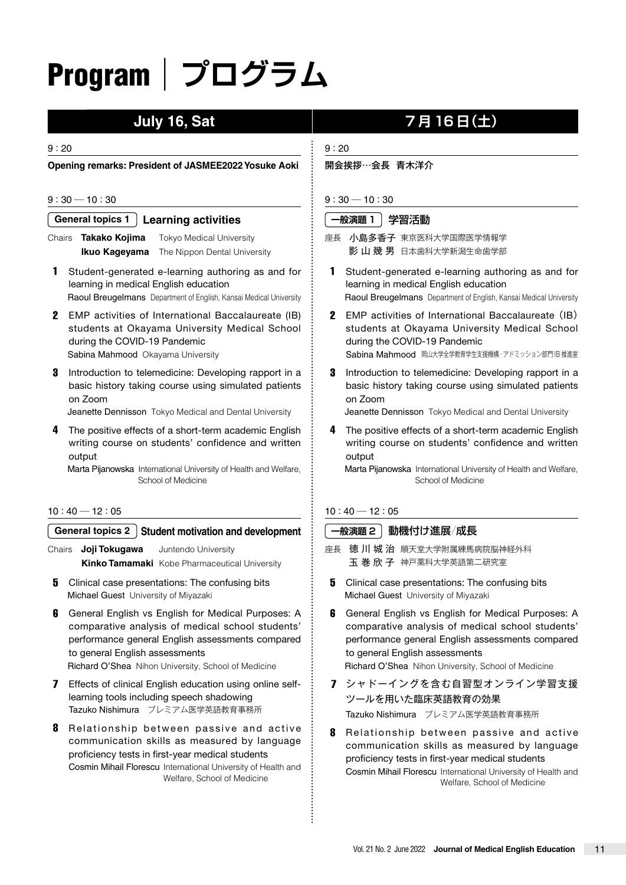# Program|**プログラム**

#### 9 : 20

**Opening remarks: President of JASMEE2022 Yosuke Aoki**

#### $9:30 - 10:30$

#### **General topics 1 Learning activities**

Chairs **Takako Kojima** Tokyo Medical University **Ikuo Kageyama** The Nippon Dental University

- 1 Student-generated e-learning authoring as and for learning in medical English education Raoul Breugelmans Department of English, Kansai Medical University
- 2 EMP activities of International Baccalaureate (IB) students at Okayama University Medical School during the COVID-19 Pandemic Sabina Mahmood Okayama University
- **3** Introduction to telemedicine: Developing rapport in a basic history taking course using simulated patients on Zoom

Jeanette Dennisson Tokyo Medical and Dental University

The positive effects of a short-term academic English writing course on students' confidence and written output

Marta Pijanowska International University of Health and Welfare, School of Medicine

#### $10:40 - 12:05$

#### **General topics 2 Student motivation and development**

Chairs **Joji Tokugawa** Juntendo University **Kinko Tamamaki** Kobe Pharmaceutical University

- **5** Clinical case presentations: The confusing bits Michael Guest University of Miyazaki
- 6 General English vs English for Medical Purposes: A comparative analysis of medical school students' performance general English assessments compared to general English assessments Richard O'Shea Nihon University, School of Medicine
	-
- 7 Effects of clinical English education using online selflearning tools including speech shadowing Tazuko Nishimura プレミアム医学英語教育事務所
- 8 Relationship between passive and active communication skills as measured by language proficiency tests in first-year medical students Cosmin Mihail Florescu International University of Health and Welfare, School of Medicine

# **July 16, Sat | マ月 16日(土)**

#### 9 : 20

開会挨拶…会長 青木洋介

#### $9:30 - 10:30$

#### **一般演題 1** 学習活動

- 座長 小島多香子 東京医科大学国際医学情報学 影 山 幾 男 日本歯科大学新潟生命歯学部
- 1 Student-generated e-learning authoring as and for learning in medical English education Raoul Breugelmans Department of English, Kansai Medical University
- 2 EMP activities of International Baccalaureate (IB) students at Okayama University Medical School during the COVID-19 Pandemic Sabina Mahmood 岡山大学全学教育学生支援機構·アドミッション部門 旧推進室
- **3** Introduction to telemedicine: Developing rapport in a basic history taking course using simulated patients on Zoom

Jeanette Dennisson Tokyo Medical and Dental University

4 The positive effects of a short-term academic English writing course on students' confidence and written output

Marta Pijanowska International University of Health and Welfare, School of Medicine

#### $10:40 - 12:05$

#### **一般演題 2** 動機付け進展/成長

- 座長 徳川城 治 順天堂大学附属練馬病院脳神経外科 玉 巻 欣 子 神戸薬科大学英語第二研究室
- **5** Clinical case presentations: The confusing bits Michael Guest University of Miyazaki
- 6 General English vs English for Medical Purposes: A comparative analysis of medical school students' performance general English assessments compared to general English assessments Richard O'Shea Nihon University, School of Medicine
- 7 シャドーイングを含む自習型オンライン学習支援 ツールを用いた臨床英語教育の効果 Tazuko Nishimura プレミアム医学英語教育事務所
- 8 Relationship between passive and active communication skills as measured by language proficiency tests in first-year medical students Cosmin Mihail Florescu International University of Health and Welfare, School of Medicine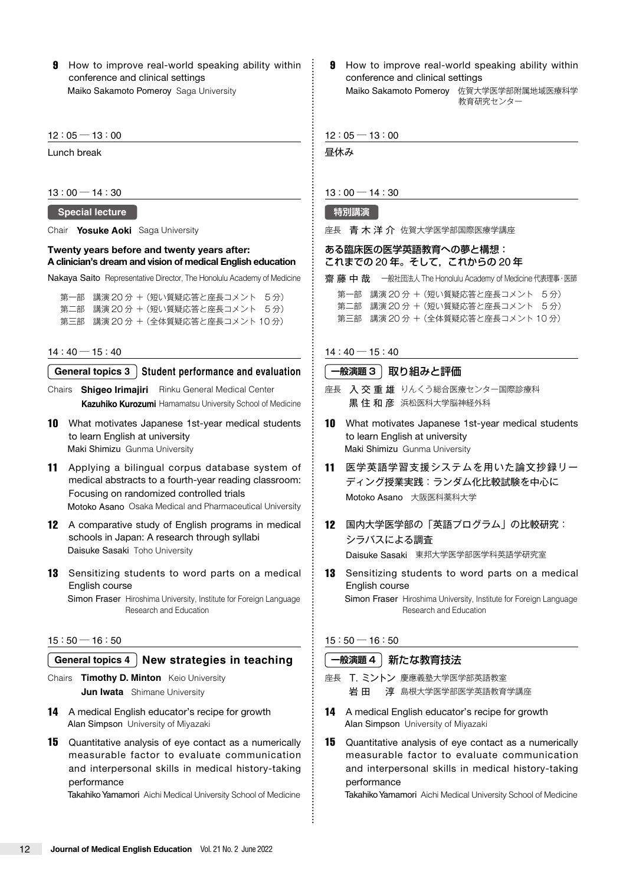**9** How to improve real-world speaking ability within conference and clinical settings Maiko Sakamoto Pomeroy Saga University

#### $12:05 - 13:00$

Lunch break

#### $13:00 - 14:30$

### **Special lecture**

Chair **Yosuke Aoki** Saga University

#### **Twenty years before and twenty years after: A clinician's dream and vision of medical English education**

Nakaya Saito Representative Director, The Honolulu Academy of Medicine

第一部 講演 20 分 +(短い質疑応答と座長コメント 5 分) 第二部 講演 20 分 +(短い質疑応答と座長コメント 5 分) 第三部 講演 20 分 +(全体質疑応答と座長コメント 10 分)

#### $14:40 - 15:40$

#### **General topics 3 Student performance and evaluation**

Chairs **Shigeo Irimajiri** Rinku General Medical Center **Kazuhiko Kurozumi** Hamamatsu University School of Medicine

- 10 What motivates Japanese 1st-year medical students to learn English at university Maki Shimizu Gunma University
- 11 Applying a bilingual corpus database system of medical abstracts to a fourth-year reading classroom: Focusing on randomized controlled trials Motoko Asano Osaka Medical and Pharmaceutical University
- 12 A comparative study of English programs in medical schools in Japan: A research through syllabi Daisuke Sasaki Toho University
- **13** Sensitizing students to word parts on a medical English course

Simon Fraser Hiroshima University, Institute for Foreign Language Research and Education

#### $15:50 - 16:50$

#### **General topics 4 New strategies in teaching**

Chairs **Timothy D. Minton** Keio University **Jun Iwata** Shimane University

- 14 A medical English educator's recipe for growth Alan Simpson University of Miyazaki
- 15 Quantitative analysis of eye contact as a numerically measurable factor to evaluate communication and interpersonal skills in medical history-taking performance

Takahiko Yamamori Aichi Medical University School of Medicine

**9** How to improve real-world speaking ability within conference and clinical settings Maiko Sakamoto Pomerov 佐賀大学医学部附属地域医療科学

教育研究センター

 $12:05 - 13:00$ 

昼休み

#### $13:00 - 14:30$

#### **特別講演**

座長 青木洋 介佐賀大学医学部国際医療学講座

#### ある臨床医の医学英語教育への夢と構想: これまでの 20 年。そして,これからの 20 年

**齋藤中哉 一**般社団法人 The Honolulu Academy of Medicine 代表理事·医師 第一部 講演 20 分 +(短い質疑応答と座長コメント 5 分) 第二部 講演 20 分 +(短い質疑応答と座長コメント 5 分) 第三部 講演 20 分 +(全体質疑応答と座長コメント 10 分)

#### $14:40 - 15:40$

#### **一般演題 3** 取り組みと評価

- 座長 入交重雄 りんくう総合医療センター国際診療科 黒 住 和 彦 浜松医科大学脳神経外科
- 10 What motivates Japanese 1st-year medical students to learn English at university Maki Shimizu Gunma University
- 11 医学英語学習支援システムを用いた論文抄録リー ディング授業実践:ランダム化比較試験を中心に Motoko Asano 大阪医科薬科大学
- 12 国内大学医学部の「英語プログラム」の比較研究: シラバスによる調査 Daisuke Sasaki 東邦大学医学部医学科英語学研究室
- 13 Sensitizing students to word parts on a medical English course Simon Fraser Hiroshima University, Institute for Foreign Language

Research and Education

#### $15:50 - 16:50$

#### **一般演題 4** 新たな教育技法

- 座長 T. ミントン 慶應義塾大学医学部英語教室 岩 田 淳 島根大学医学部医学英語教育学講座
- 14 A medical English educator's recipe for growth Alan Simpson University of Miyazaki
- 15 Quantitative analysis of eye contact as a numerically measurable factor to evaluate communication and interpersonal skills in medical history-taking performance

Takahiko Yamamori Aichi Medical University School of Medicine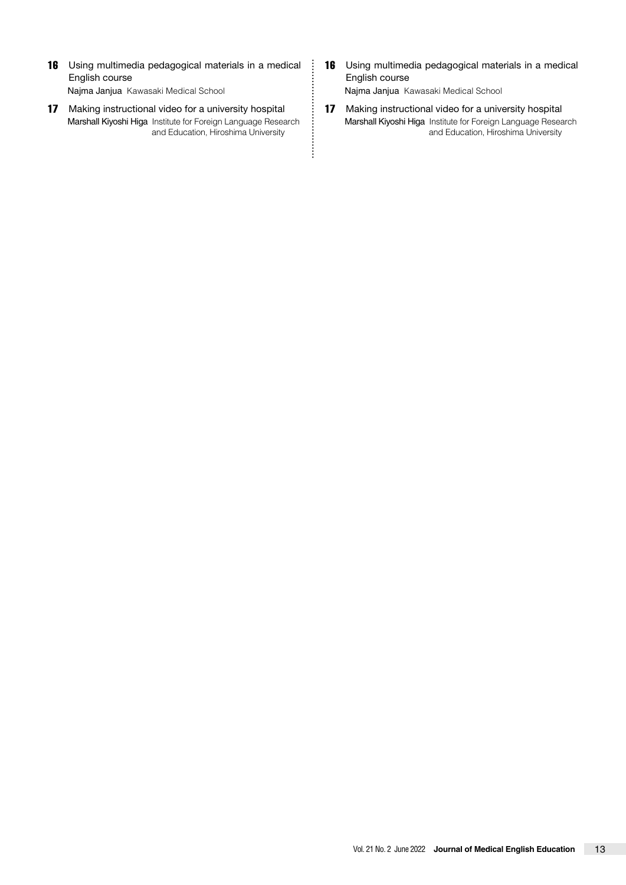- 16 Using multimedia pedagogical materials in a medical English course Najma Janjua Kawasaki Medical School
- 17 Making instructional video for a university hospital Marshall Kiyoshi Higa Institute for Foreign Language Research and Education, Hiroshima University

.<br>.<br>.<br>.<br>.<br>.<br>.<br><br><br><br><br><br><br><br><br>

- 16 Using multimedia pedagogical materials in a medical English course Najma Janjua Kawasaki Medical School
- 17 Making instructional video for a university hospital Marshall Kiyoshi Higa Institute for Foreign Language Research and Education, Hiroshima University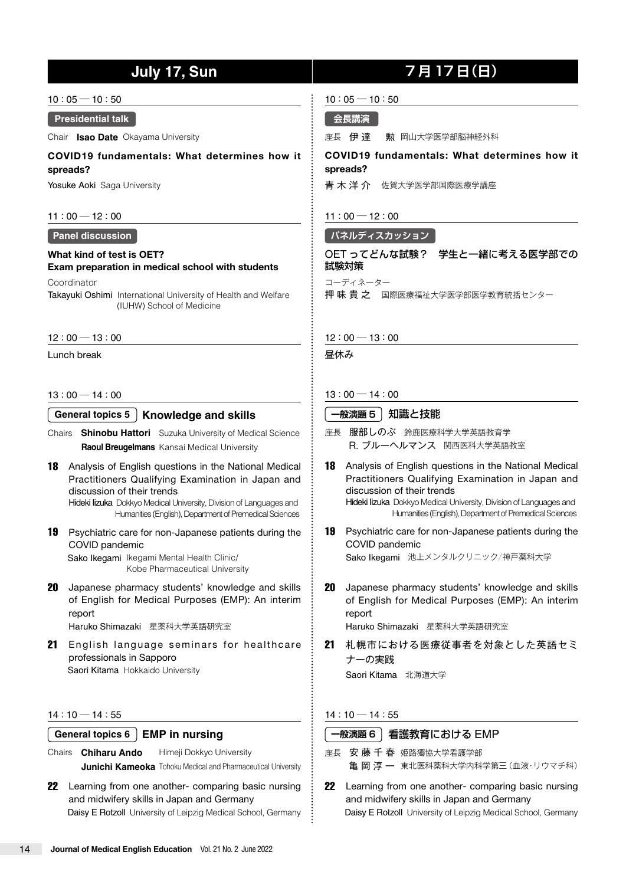## **July 17, Sun** | 7月 17日(日)

 $10:05 - 10:50$ 

#### **Presidential talk**

Chair **Isao Date** Okayama University

**COVID19 fundamentals: What determines how it spreads?**

Yosuke Aoki Saga University

#### $11:00 - 12:00$

#### **Panel discussion**

**What kind of test is OET? Exam preparation in medical school with students**

**Coordinator** 

Takayuki Oshimi International University of Health and Welfare (IUHW) School of Medicine

#### $12:00 - 13:00$

Lunch break

#### $13:00 - 14:00$

**General topics 5 Knowledge and skills**

- Chairs **Shinobu Hattori** Suzuka University of Medical Science **Raoul Breugelmans** Kansai Medical University
- 18 Analysis of English questions in the National Medical Practitioners Qualifying Examination in Japan and discussion of their trends Hideki Iizuka Dokkyo Medical University, Division of Languages and

Humanities (English), Department of Premedical Sciences

- 19 Psychiatric care for non-Japanese patients during the COVID pandemic Sako Ikegami Ikegami Mental Health Clinic/ Kobe Pharmaceutical University
- 20 Japanese pharmacy students' knowledge and skills of English for Medical Purposes (EMP): An interim report Haruko Shimazaki 星薬科大学英語研究室

21 English language seminars for healthcare professionals in Sapporo Saori Kitama Hokkaido University

#### $14:10 - 14:55$

#### **General topics 6 EMP in nursing**

- Chairs **Chiharu Ando** Himeji Dokkyo University **Junichi Kameoka** Tohoku Medical and Pharmaceutical University
- 22 Learning from one another- comparing basic nursing and midwifery skills in Japan and Germany Daisy E Rotzoll University of Leipzig Medical School, Germany

#### $10:05 - 10:50$

#### **会長講演**

座長 伊達 動 岡山大学医学部脳神経外科

#### **COVID19 fundamentals: What determines how it spreads?**

青木洋 介 佐賀大学医学部国際医療学講座

 $11:00 - 12:00$ 

#### **パネルディスカッション**

#### OET ってどんな試験? 学生と一緒に考える医学部での 試験対策

コーディネーター

押味 貴之 国際医療福祉大学医学部医学教育統括センター

#### $12:00 - 13:00$

昼休み

#### $13:00 - 14:00$

#### **一般演題 5** 知識と技能

- 座長 服部しのぶ 鈴鹿医療科学大学英語教育学 R. ブルーヘルマンス 関西医科大学英語教室
- 18 Analysis of English questions in the National Medical Practitioners Qualifying Examination in Japan and discussion of their trends Hideki Iizuka Dokkyo Medical University, Division of Languages and Humanities (English), Department of Premedical Sciences
- 19 Psychiatric care for non-Japanese patients during the COVID pandemic Sako Ikegami 池上メンタルクリニック/神戸薬科大学
- 20 Japanese pharmacy students' knowledge and skills of English for Medical Purposes (EMP): An interim report Haruko Shimazaki 星薬科大学英語研究室

21 札幌市における医療従事者を対象とした英語セミ ナーの実践

Saori Kitama 北海道大学

#### $14:10 - 14:55$

#### **一般演題 6** 看護教育における EMP

- 座長 安藤千春 姫路獨協大学看護学部 亀 岡 淳 一 東北医科薬科大学内科学第三(血液·リウマチ科)
- 22 Learning from one another- comparing basic nursing and midwifery skills in Japan and Germany Daisy E Rotzoll University of Leipzig Medical School, Germany